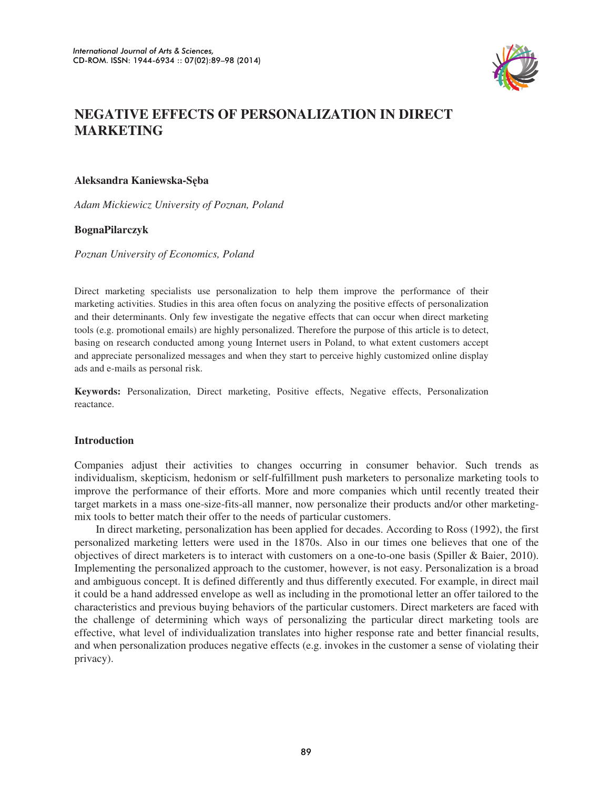

# **NEGATIVE EFFECTS OF PERSONALIZATION IN DIRECT MARKETING**

# **Aleksandra Kaniewska-S**Ċ**ba**

*Adam Mickiewicz University of Poznan, Poland* 

# **BognaPilarczyk**

*Poznan University of Economics, Poland* 

Direct marketing specialists use personalization to help them improve the performance of their marketing activities. Studies in this area often focus on analyzing the positive effects of personalization and their determinants. Only few investigate the negative effects that can occur when direct marketing tools (e.g. promotional emails) are highly personalized. Therefore the purpose of this article is to detect, basing on research conducted among young Internet users in Poland, to what extent customers accept and appreciate personalized messages and when they start to perceive highly customized online display ads and e-mails as personal risk.

**Keywords:** Personalization, Direct marketing, Positive effects, Negative effects, Personalization reactance.

# **Introduction**

Companies adjust their activities to changes occurring in consumer behavior. Such trends as individualism, skepticism, hedonism or self-fulfillment push marketers to personalize marketing tools to improve the performance of their efforts. More and more companies which until recently treated their target markets in a mass one-size-fits-all manner, now personalize their products and/or other marketingmix tools to better match their offer to the needs of particular customers.

In direct marketing, personalization has been applied for decades. According to Ross (1992), the first personalized marketing letters were used in the 1870s. Also in our times one believes that one of the objectives of direct marketers is to interact with customers on a one-to-one basis (Spiller & Baier, 2010). Implementing the personalized approach to the customer, however, is not easy. Personalization is a broad and ambiguous concept. It is defined differently and thus differently executed. For example, in direct mail it could be a hand addressed envelope as well as including in the promotional letter an offer tailored to the characteristics and previous buying behaviors of the particular customers. Direct marketers are faced with the challenge of determining which ways of personalizing the particular direct marketing tools are effective, what level of individualization translates into higher response rate and better financial results, and when personalization produces negative effects (e.g. invokes in the customer a sense of violating their privacy).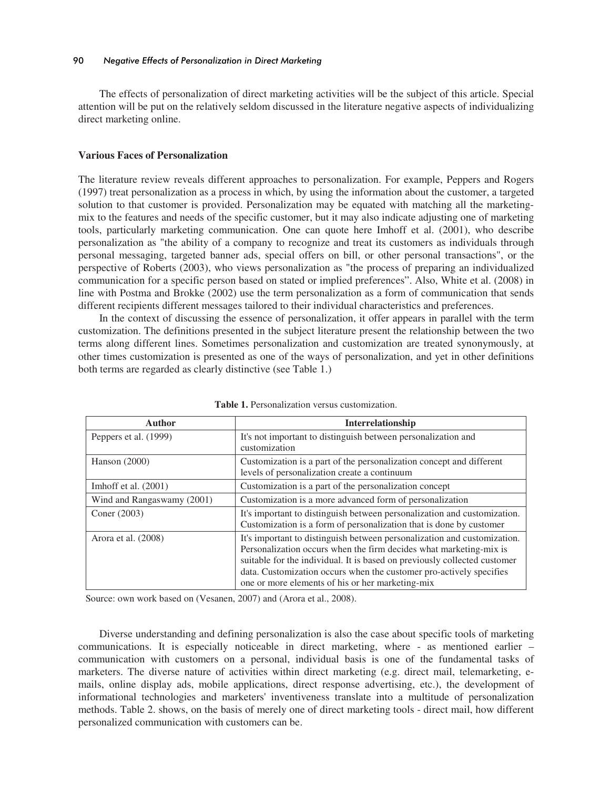The effects of personalization of direct marketing activities will be the subject of this article. Special attention will be put on the relatively seldom discussed in the literature negative aspects of individualizing direct marketing online.

# **Various Faces of Personalization**

The literature review reveals different approaches to personalization. For example, Peppers and Rogers (1997) treat personalization as a process in which, by using the information about the customer, a targeted solution to that customer is provided. Personalization may be equated with matching all the marketingmix to the features and needs of the specific customer, but it may also indicate adjusting one of marketing tools, particularly marketing communication. One can quote here Imhoff et al. (2001), who describe personalization as "the ability of a company to recognize and treat its customers as individuals through personal messaging, targeted banner ads, special offers on bill, or other personal transactions", or the perspective of Roberts (2003), who views personalization as "the process of preparing an individualized communication for a specific person based on stated or implied preferences". Also, White et al. (2008) in line with Postma and Brokke (2002) use the term personalization as a form of communication that sends different recipients different messages tailored to their individual characteristics and preferences.

In the context of discussing the essence of personalization, it offer appears in parallel with the term customization. The definitions presented in the subject literature present the relationship between the two terms along different lines. Sometimes personalization and customization are treated synonymously, at other times customization is presented as one of the ways of personalization, and yet in other definitions both terms are regarded as clearly distinctive (see Table 1.)

| <b>Author</b>              | <b>Interrelationship</b>                                                                                                                                                                                                                                                                                                                               |
|----------------------------|--------------------------------------------------------------------------------------------------------------------------------------------------------------------------------------------------------------------------------------------------------------------------------------------------------------------------------------------------------|
| Peppers et al. (1999)      | It's not important to distinguish between personalization and<br>customization                                                                                                                                                                                                                                                                         |
| Hanson $(2000)$            | Customization is a part of the personalization concept and different<br>levels of personalization create a continuum                                                                                                                                                                                                                                   |
| Imhoff et al. $(2001)$     | Customization is a part of the personalization concept                                                                                                                                                                                                                                                                                                 |
| Wind and Rangaswamy (2001) | Customization is a more advanced form of personalization                                                                                                                                                                                                                                                                                               |
| Coner (2003)               | It's important to distinguish between personalization and customization.<br>Customization is a form of personalization that is done by customer                                                                                                                                                                                                        |
| Arora et al. (2008)        | It's important to distinguish between personalization and customization.<br>Personalization occurs when the firm decides what marketing-mix is<br>suitable for the individual. It is based on previously collected customer<br>data. Customization occurs when the customer pro-actively specifies<br>one or more elements of his or her marketing-mix |

**Table 1.** Personalization versus customization.

Source: own work based on (Vesanen, 2007) and (Arora et al., 2008).

Diverse understanding and defining personalization is also the case about specific tools of marketing communications. It is especially noticeable in direct marketing, where - as mentioned earlier – communication with customers on a personal, individual basis is one of the fundamental tasks of marketers. The diverse nature of activities within direct marketing (e.g. direct mail, telemarketing, emails, online display ads, mobile applications, direct response advertising, etc.), the development of informational technologies and marketers' inventiveness translate into a multitude of personalization methods. Table 2. shows, on the basis of merely one of direct marketing tools - direct mail, how different personalized communication with customers can be.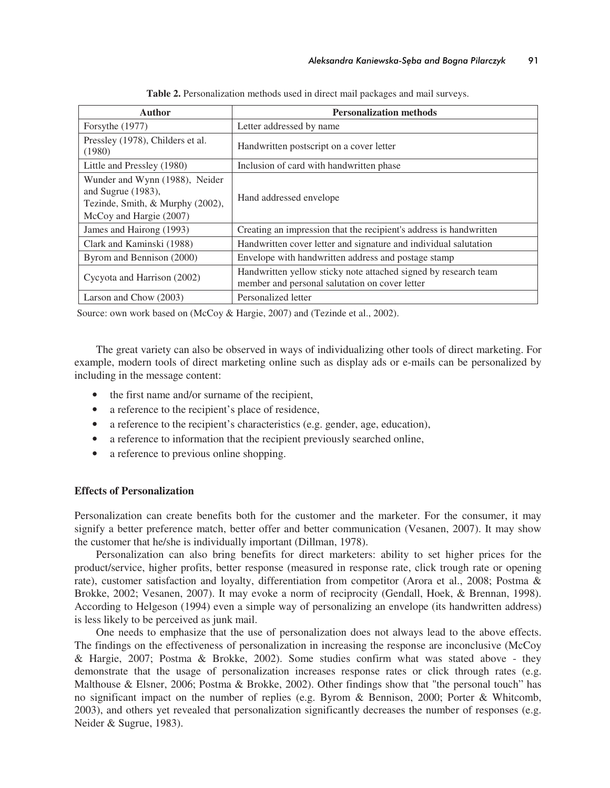| <b>Author</b>                                                                                                       | <b>Personalization methods</b>                                                                                    |  |  |
|---------------------------------------------------------------------------------------------------------------------|-------------------------------------------------------------------------------------------------------------------|--|--|
| Forsythe (1977)                                                                                                     | Letter addressed by name                                                                                          |  |  |
| Pressley (1978), Childers et al.<br>(1980)                                                                          | Handwritten postscript on a cover letter                                                                          |  |  |
| Little and Pressley (1980)                                                                                          | Inclusion of card with handwritten phase                                                                          |  |  |
| Wunder and Wynn (1988), Neider<br>and Sugrue (1983),<br>Tezinde, Smith, & Murphy (2002),<br>McCoy and Hargie (2007) | Hand addressed envelope                                                                                           |  |  |
| James and Hairong (1993)                                                                                            | Creating an impression that the recipient's address is handwritten                                                |  |  |
| Clark and Kaminski (1988)                                                                                           | Handwritten cover letter and signature and individual salutation                                                  |  |  |
| Byrom and Bennison (2000)                                                                                           | Envelope with handwritten address and postage stamp                                                               |  |  |
| Cycyota and Harrison (2002)                                                                                         | Handwritten yellow sticky note attached signed by research team<br>member and personal salutation on cover letter |  |  |
| Larson and Chow (2003)                                                                                              | Personalized letter                                                                                               |  |  |

**Table 2.** Personalization methods used in direct mail packages and mail surveys.

Source: own work based on (McCoy & Hargie, 2007) and (Tezinde et al., 2002).

The great variety can also be observed in ways of individualizing other tools of direct marketing. For example, modern tools of direct marketing online such as display ads or e-mails can be personalized by including in the message content:

- the first name and/or surname of the recipient,
- a reference to the recipient's place of residence,
- a reference to the recipient's characteristics (e.g. gender, age, education),
- a reference to information that the recipient previously searched online,
- a reference to previous online shopping.

## **Effects of Personalization**

Personalization can create benefits both for the customer and the marketer. For the consumer, it may signify a better preference match, better offer and better communication (Vesanen, 2007). It may show the customer that he/she is individually important (Dillman, 1978).

Personalization can also bring benefits for direct marketers: ability to set higher prices for the product/service, higher profits, better response (measured in response rate, click trough rate or opening rate), customer satisfaction and loyalty, differentiation from competitor (Arora et al., 2008; Postma & Brokke, 2002; Vesanen, 2007). It may evoke a norm of reciprocity (Gendall, Hoek, & Brennan, 1998). According to Helgeson (1994) even a simple way of personalizing an envelope (its handwritten address) is less likely to be perceived as junk mail.

One needs to emphasize that the use of personalization does not always lead to the above effects. The findings on the effectiveness of personalization in increasing the response are inconclusive (McCoy & Hargie, 2007; Postma & Brokke, 2002). Some studies confirm what was stated above - they demonstrate that the usage of personalization increases response rates or click through rates (e.g. Malthouse & Elsner, 2006; Postma & Brokke, 2002). Other findings show that "the personal touch" has no significant impact on the number of replies (e.g. Byrom & Bennison, 2000; Porter & Whitcomb, 2003), and others yet revealed that personalization significantly decreases the number of responses (e.g. Neider & Sugrue, 1983).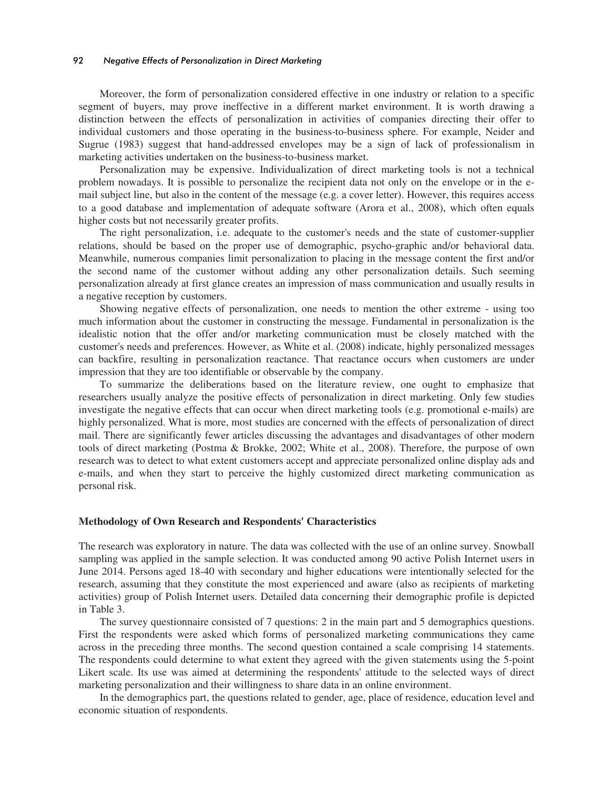## 92 *Negative Effects of Personalization in Direct Marketing*

Moreover, the form of personalization considered effective in one industry or relation to a specific segment of buyers, may prove ineffective in a different market environment. It is worth drawing a distinction between the effects of personalization in activities of companies directing their offer to individual customers and those operating in the business-to-business sphere. For example, Neider and Sugrue (1983) suggest that hand-addressed envelopes may be a sign of lack of professionalism in marketing activities undertaken on the business-to-business market.

Personalization may be expensive. Individualization of direct marketing tools is not a technical problem nowadays. It is possible to personalize the recipient data not only on the envelope or in the email subject line, but also in the content of the message (e.g. a cover letter). However, this requires access to a good database and implementation of adequate software (Arora et al., 2008), which often equals higher costs but not necessarily greater profits.

The right personalization, i.e. adequate to the customer's needs and the state of customer-supplier relations, should be based on the proper use of demographic, psycho-graphic and/or behavioral data. Meanwhile, numerous companies limit personalization to placing in the message content the first and/or the second name of the customer without adding any other personalization details. Such seeming personalization already at first glance creates an impression of mass communication and usually results in a negative reception by customers.

Showing negative effects of personalization, one needs to mention the other extreme - using too much information about the customer in constructing the message. Fundamental in personalization is the idealistic notion that the offer and/or marketing communication must be closely matched with the customer's needs and preferences. However, as White et al. (2008) indicate, highly personalized messages can backfire, resulting in personalization reactance. That reactance occurs when customers are under impression that they are too identifiable or observable by the company.

To summarize the deliberations based on the literature review, one ought to emphasize that researchers usually analyze the positive effects of personalization in direct marketing. Only few studies investigate the negative effects that can occur when direct marketing tools (e.g. promotional e-mails) are highly personalized. What is more, most studies are concerned with the effects of personalization of direct mail. There are significantly fewer articles discussing the advantages and disadvantages of other modern tools of direct marketing (Postma & Brokke, 2002; White et al., 2008). Therefore, the purpose of own research was to detect to what extent customers accept and appreciate personalized online display ads and e-mails, and when they start to perceive the highly customized direct marketing communication as personal risk.

#### **Methodology of Own Research and Respondents' Characteristics**

The research was exploratory in nature. The data was collected with the use of an online survey. Snowball sampling was applied in the sample selection. It was conducted among 90 active Polish Internet users in June 2014. Persons aged 18-40 with secondary and higher educations were intentionally selected for the research, assuming that they constitute the most experienced and aware (also as recipients of marketing activities) group of Polish Internet users. Detailed data concerning their demographic profile is depicted in Table 3.

The survey questionnaire consisted of 7 questions: 2 in the main part and 5 demographics questions. First the respondents were asked which forms of personalized marketing communications they came across in the preceding three months. The second question contained a scale comprising 14 statements. The respondents could determine to what extent they agreed with the given statements using the 5-point Likert scale. Its use was aimed at determining the respondents' attitude to the selected ways of direct marketing personalization and their willingness to share data in an online environment.

In the demographics part, the questions related to gender, age, place of residence, education level and economic situation of respondents.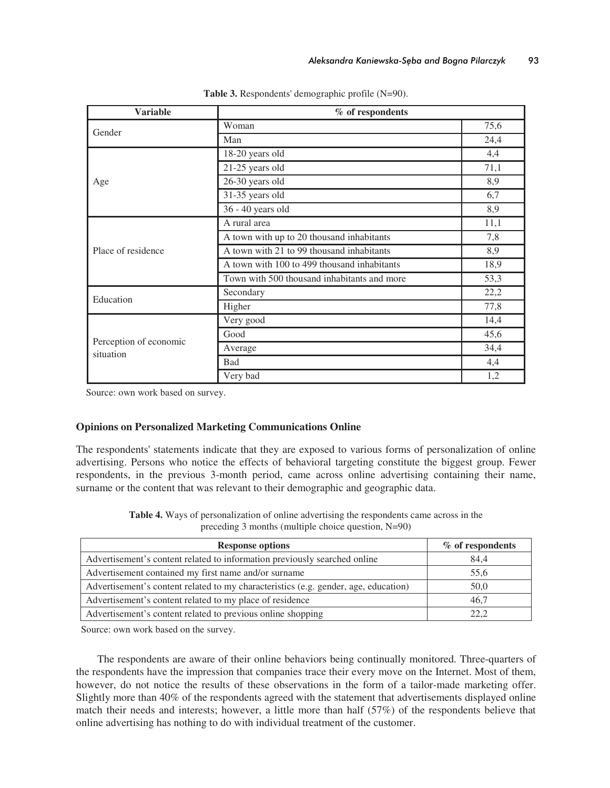| <b>Variable</b>                     | % of respondents                            |      |  |  |
|-------------------------------------|---------------------------------------------|------|--|--|
|                                     | Woman                                       | 75,6 |  |  |
| Gender                              | Man                                         | 24,4 |  |  |
|                                     | 18-20 years old                             | 4,4  |  |  |
|                                     | 21-25 years old                             | 71,1 |  |  |
| Age                                 | 26-30 years old                             | 8,9  |  |  |
|                                     | 31-35 years old                             | 6,7  |  |  |
|                                     | 36 - 40 years old                           | 8,9  |  |  |
|                                     | A rural area                                | 11,1 |  |  |
|                                     | A town with up to 20 thousand inhabitants   | 7,8  |  |  |
| Place of residence                  | A town with 21 to 99 thousand inhabitants   | 8,9  |  |  |
|                                     | A town with 100 to 499 thousand inhabitants | 18,9 |  |  |
|                                     | Town with 500 thousand inhabitants and more | 53,3 |  |  |
| Education                           | Secondary                                   | 22,2 |  |  |
|                                     | Higher                                      | 77,8 |  |  |
|                                     | Very good                                   | 14,4 |  |  |
| Perception of economic<br>situation | Good                                        | 45,6 |  |  |
|                                     | Average                                     | 34,4 |  |  |
|                                     | <b>Bad</b>                                  | 4,4  |  |  |
|                                     | Very bad                                    | 1,2  |  |  |

**Table 3.** Respondents' demographic profile (N=90).

Source: own work based on survey.

# **Opinions on Personalized Marketing Communications Online**

The respondents' statements indicate that they are exposed to various forms of personalization of online advertising. Persons who notice the effects of behavioral targeting constitute the biggest group. Fewer respondents, in the previous 3-month period, came across online advertising containing their name, surname or the content that was relevant to their demographic and geographic data.

**Table 4.** Ways of personalization of online advertising the respondents came across in the preceding 3 months (multiple choice question, N=90)

| <b>Response options</b>                                                             | % of respondents |  |  |
|-------------------------------------------------------------------------------------|------------------|--|--|
| Advertisement's content related to information previously searched online           | 84,4             |  |  |
| Advertisement contained my first name and/or surname                                | 55,6             |  |  |
| Advertisement's content related to my characteristics (e.g. gender, age, education) | 50,0             |  |  |
| Advertisement's content related to my place of residence                            | 46,7             |  |  |
| Advertisement's content related to previous online shopping                         | 22.2             |  |  |

Source: own work based on the survey.

The respondents are aware of their online behaviors being continually monitored. Three-quarters of the respondents have the impression that companies trace their every move on the Internet. Most of them, however, do not notice the results of these observations in the form of a tailor-made marketing offer. Slightly more than 40% of the respondents agreed with the statement that advertisements displayed online match their needs and interests; however, a little more than half (57%) of the respondents believe that online advertising has nothing to do with individual treatment of the customer.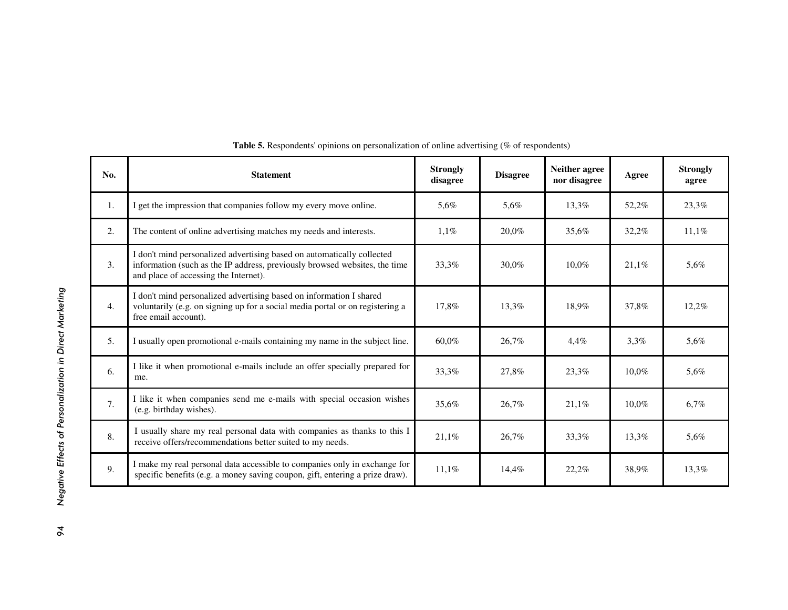| No.            | <b>Statement</b>                                                                                                                                                                              | <b>Strongly</b><br>disagree | <b>Disagree</b> | Neither agree<br>nor disagree | Agree    | <b>Strongly</b><br>agree |
|----------------|-----------------------------------------------------------------------------------------------------------------------------------------------------------------------------------------------|-----------------------------|-----------------|-------------------------------|----------|--------------------------|
| $\mathbf{1}$ . | I get the impression that companies follow my every move online.                                                                                                                              | 5.6%                        | 5.6%            | 13.3%                         | 52,2%    | 23,3%                    |
| 2.             | The content of online advertising matches my needs and interests.                                                                                                                             | 1,1%                        | 20,0%           | 35,6%                         | 32,2%    | 11,1%                    |
| 3.             | I don't mind personalized advertising based on automatically collected<br>information (such as the IP address, previously browsed websites, the time<br>and place of accessing the Internet). | 33,3%                       | 30.0%           | 10.0%                         | 21,1%    | 5,6%                     |
| 4.             | I don't mind personalized advertising based on information I shared<br>voluntarily (e.g. on signing up for a social media portal or on registering a<br>free email account).                  | 17.8%                       | 13.3%           | 18.9%                         | 37.8%    | 12,2%                    |
| 5.             | I usually open promotional e-mails containing my name in the subject line.                                                                                                                    | 60.0%                       | 26,7%           | 4.4%                          | $3.3\%$  | 5,6%                     |
| 6.             | I like it when promotional e-mails include an offer specially prepared for<br>me.                                                                                                             | 33,3%                       | 27.8%           | 23.3%                         | 10.0%    | 5.6%                     |
| 7.             | I like it when companies send me e-mails with special occasion wishes<br>(e.g. birthday wishes).                                                                                              | 35,6%                       | 26,7%           | 21.1%                         | $10.0\%$ | 6,7%                     |
| 8.             | I usually share my real personal data with companies as thanks to this I<br>receive offers/recommendations better suited to my needs.                                                         | 21,1%                       | 26,7%           | 33,3%                         | 13,3%    | 5,6%                     |
| 9.             | I make my real personal data accessible to companies only in exchange for<br>specific benefits (e.g. a money saving coupon, gift, entering a prize draw).                                     | 11,1%                       | 14,4%           | 22,2%                         | 38,9%    | 13,3%                    |

| Table 5. Respondents' opinions on personalization of online advertising (% of respondents) |  |  |  |  |
|--------------------------------------------------------------------------------------------|--|--|--|--|
|--------------------------------------------------------------------------------------------|--|--|--|--|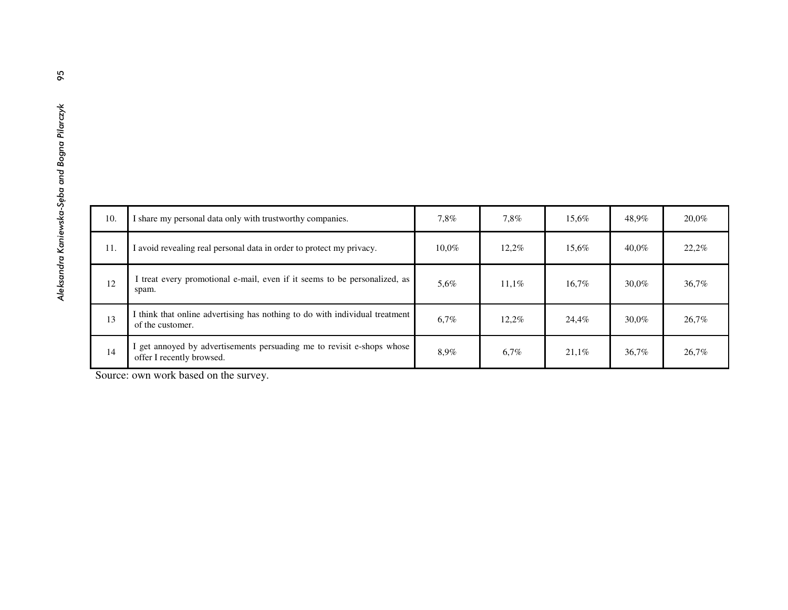| 8                                             |     |                                                                                                     |       |       |       |          |       |
|-----------------------------------------------|-----|-----------------------------------------------------------------------------------------------------|-------|-------|-------|----------|-------|
|                                               |     |                                                                                                     |       |       |       |          |       |
| Aleksandra Kaniewska-Sęba and Bogna Pilarczyk |     |                                                                                                     |       |       |       |          |       |
|                                               | 10. | I share my personal data only with trustworthy companies.                                           | 7,8%  | 7,8%  | 15,6% | 48,9%    | 20,0% |
|                                               | 11. | I avoid revealing real personal data in order to protect my privacy.                                | 10,0% | 12,2% | 15,6% | $40,0\%$ | 22,2% |
|                                               | 12  | I treat every promotional e-mail, even if it seems to be personalized, as<br>spam.                  | 5,6%  | 11,1% | 16,7% | 30,0%    | 36,7% |
|                                               | 13  | I think that online advertising has nothing to do with individual treatment<br>of the customer.     | 6,7%  | 12,2% | 24,4% | 30,0%    | 26,7% |
|                                               | 14  | I get annoyed by advertisements persuading me to revisit e-shops whose<br>offer I recently browsed. | 8,9%  | 6,7%  | 21,1% | 36,7%    | 26,7% |

Source: own work based on the survey.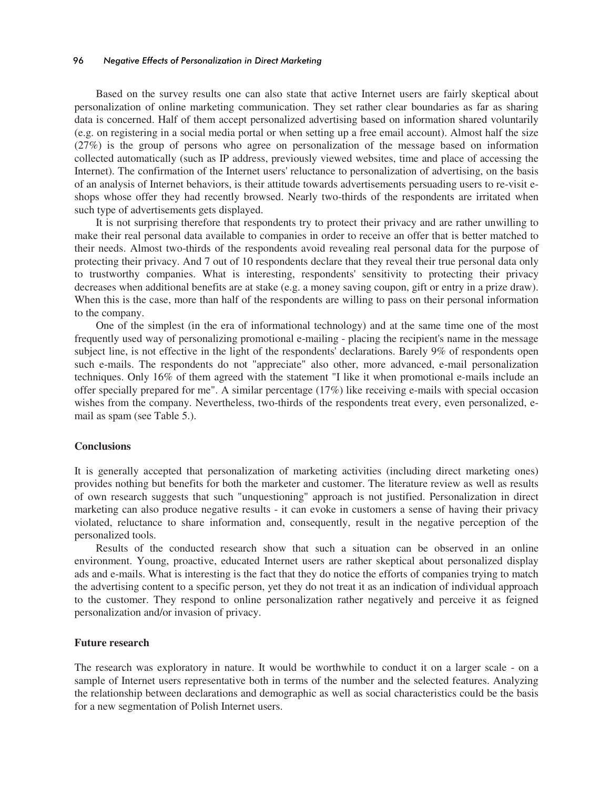#### 96 *Negative Effects of Personalization in Direct Marketing*

Based on the survey results one can also state that active Internet users are fairly skeptical about personalization of online marketing communication. They set rather clear boundaries as far as sharing data is concerned. Half of them accept personalized advertising based on information shared voluntarily (e.g. on registering in a social media portal or when setting up a free email account). Almost half the size (27%) is the group of persons who agree on personalization of the message based on information collected automatically (such as IP address, previously viewed websites, time and place of accessing the Internet). The confirmation of the Internet users' reluctance to personalization of advertising, on the basis of an analysis of Internet behaviors, is their attitude towards advertisements persuading users to re-visit eshops whose offer they had recently browsed. Nearly two-thirds of the respondents are irritated when such type of advertisements gets displayed.

It is not surprising therefore that respondents try to protect their privacy and are rather unwilling to make their real personal data available to companies in order to receive an offer that is better matched to their needs. Almost two-thirds of the respondents avoid revealing real personal data for the purpose of protecting their privacy. And 7 out of 10 respondents declare that they reveal their true personal data only to trustworthy companies. What is interesting, respondents' sensitivity to protecting their privacy decreases when additional benefits are at stake (e.g. a money saving coupon, gift or entry in a prize draw). When this is the case, more than half of the respondents are willing to pass on their personal information to the company.

One of the simplest (in the era of informational technology) and at the same time one of the most frequently used way of personalizing promotional e-mailing - placing the recipient's name in the message subject line, is not effective in the light of the respondents' declarations. Barely 9% of respondents open such e-mails. The respondents do not "appreciate" also other, more advanced, e-mail personalization techniques. Only 16% of them agreed with the statement "I like it when promotional e-mails include an offer specially prepared for me". A similar percentage (17%) like receiving e-mails with special occasion wishes from the company. Nevertheless, two-thirds of the respondents treat every, even personalized, email as spam (see Table 5.).

### **Conclusions**

It is generally accepted that personalization of marketing activities (including direct marketing ones) provides nothing but benefits for both the marketer and customer. The literature review as well as results of own research suggests that such "unquestioning" approach is not justified. Personalization in direct marketing can also produce negative results - it can evoke in customers a sense of having their privacy violated, reluctance to share information and, consequently, result in the negative perception of the personalized tools.

Results of the conducted research show that such a situation can be observed in an online environment. Young, proactive, educated Internet users are rather skeptical about personalized display ads and e-mails. What is interesting is the fact that they do notice the efforts of companies trying to match the advertising content to a specific person, yet they do not treat it as an indication of individual approach to the customer. They respond to online personalization rather negatively and perceive it as feigned personalization and/or invasion of privacy.

### **Future research**

The research was exploratory in nature. It would be worthwhile to conduct it on a larger scale - on a sample of Internet users representative both in terms of the number and the selected features. Analyzing the relationship between declarations and demographic as well as social characteristics could be the basis for a new segmentation of Polish Internet users.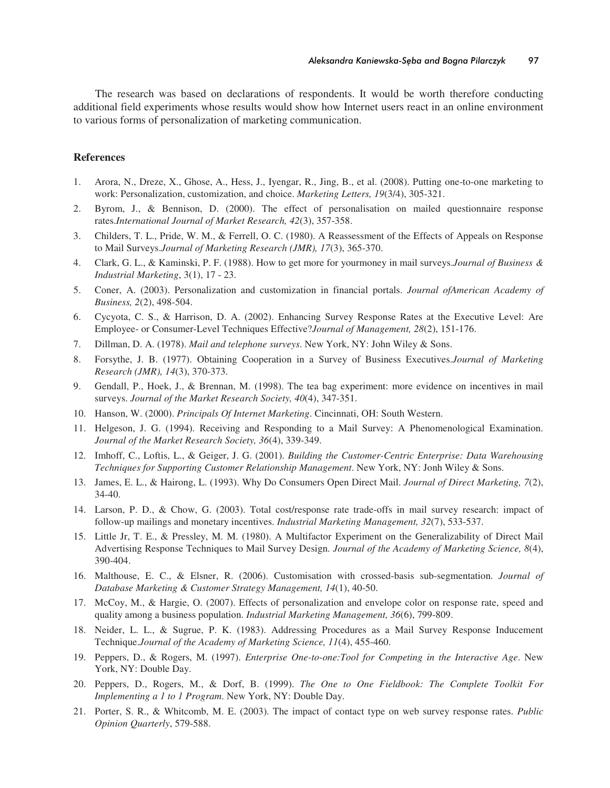The research was based on declarations of respondents. It would be worth therefore conducting additional field experiments whose results would show how Internet users react in an online environment to various forms of personalization of marketing communication.

### **References**

- 1. Arora, N., Dreze, X., Ghose, A., Hess, J., Iyengar, R., Jing, B., et al. (2008). Putting one-to-one marketing to work: Personalization, customization, and choice. *Marketing Letters, 19*(3/4), 305-321.
- 2. Byrom, J., & Bennison, D. (2000). The effect of personalisation on mailed questionnaire response rates.*International Journal of Market Research, 42*(3), 357-358.
- 3. Childers, T. L., Pride, W. M., & Ferrell, O. C. (1980). A Reassessment of the Effects of Appeals on Response to Mail Surveys.*Journal of Marketing Research (JMR), 17*(3), 365-370.
- 4. Clark, G. L., & Kaminski, P. F. (1988). How to get more for yourmoney in mail surveys.*Journal of Business & Industrial Marketing*, 3(1), 17 - 23.
- 5. Coner, A. (2003). Personalization and customization in financial portals. *Journal ofAmerican Academy of Business, 2*(2), 498-504.
- 6. Cycyota, C. S., & Harrison, D. A. (2002). Enhancing Survey Response Rates at the Executive Level: Are Employee- or Consumer-Level Techniques Effective?*Journal of Management, 28*(2), 151-176.
- 7. Dillman, D. A. (1978). *Mail and telephone surveys*. New York, NY: John Wiley & Sons.
- 8. Forsythe, J. B. (1977). Obtaining Cooperation in a Survey of Business Executives.*Journal of Marketing Research (JMR), 14*(3), 370-373.
- 9. Gendall, P., Hoek, J., & Brennan, M. (1998). The tea bag experiment: more evidence on incentives in mail surveys. *Journal of the Market Research Society, 40*(4), 347-351.
- 10. Hanson, W. (2000). *Principals Of Internet Marketing*. Cincinnati, OH: South Western.
- 11. Helgeson, J. G. (1994). Receiving and Responding to a Mail Survey: A Phenomenological Examination. *Journal of the Market Research Society, 36*(4), 339-349.
- 12. Imhoff, C., Loftis, L., & Geiger, J. G. (2001). *Building the Customer-Centric Enterprise: Data Warehousing Techniques for Supporting Customer Relationship Management*. New York, NY: Jonh Wiley & Sons.
- 13. James, E. L., & Hairong, L. (1993). Why Do Consumers Open Direct Mail. *Journal of Direct Marketing, 7*(2), 34-40.
- 14. Larson, P. D., & Chow, G. (2003). Total cost/response rate trade-offs in mail survey research: impact of follow-up mailings and monetary incentives. *Industrial Marketing Management, 32*(7), 533-537.
- 15. Little Jr, T. E., & Pressley, M. M. (1980). A Multifactor Experiment on the Generalizability of Direct Mail Advertising Response Techniques to Mail Survey Design. *Journal of the Academy of Marketing Science, 8*(4), 390-404.
- 16. Malthouse, E. C., & Elsner, R. (2006). Customisation with crossed-basis sub-segmentation. *Journal of Database Marketing & Customer Strategy Management, 14*(1), 40-50.
- 17. McCoy, M., & Hargie, O. (2007). Effects of personalization and envelope color on response rate, speed and quality among a business population. *Industrial Marketing Management, 36*(6), 799-809.
- 18. Neider, L. L., & Sugrue, P. K. (1983). Addressing Procedures as a Mail Survey Response Inducement Technique.*Journal of the Academy of Marketing Science, 11*(4), 455-460.
- 19. Peppers, D., & Rogers, M. (1997). *Enterprise One-to-one:Tool for Competing in the Interactive Age*. New York, NY: Double Day.
- 20. Peppers, D., Rogers, M., & Dorf, B. (1999). *The One to One Fieldbook: The Complete Toolkit For Implementing a 1 to 1 Program*. New York, NY: Double Day.
- 21. Porter, S. R., & Whitcomb, M. E. (2003). The impact of contact type on web survey response rates. *Public Opinion Quarterly*, 579-588.